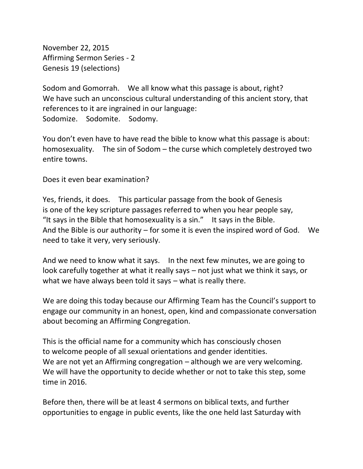November 22, 2015 Affirming Sermon Series - 2 Genesis 19 (selections)

Sodom and Gomorrah. We all know what this passage is about, right? We have such an unconscious cultural understanding of this ancient story, that references to it are ingrained in our language: Sodomize. Sodomite. Sodomy.

You don't even have to have read the bible to know what this passage is about: homosexuality. The sin of Sodom – the curse which completely destroyed two entire towns.

Does it even bear examination?

Yes, friends, it does. This particular passage from the book of Genesis is one of the key scripture passages referred to when you hear people say, "It says in the Bible that homosexuality is a sin." It says in the Bible. And the Bible is our authority  $-$  for some it is even the inspired word of God. We need to take it very, very seriously.

And we need to know what it says. In the next few minutes, we are going to look carefully together at what it really says – not just what we think it says, or what we have always been told it says – what is really there.

We are doing this today because our Affirming Team has the Council's support to engage our community in an honest, open, kind and compassionate conversation about becoming an Affirming Congregation.

This is the official name for a community which has consciously chosen to welcome people of all sexual orientations and gender identities. We are not yet an Affirming congregation – although we are very welcoming. We will have the opportunity to decide whether or not to take this step, some time in 2016.

Before then, there will be at least 4 sermons on biblical texts, and further opportunities to engage in public events, like the one held last Saturday with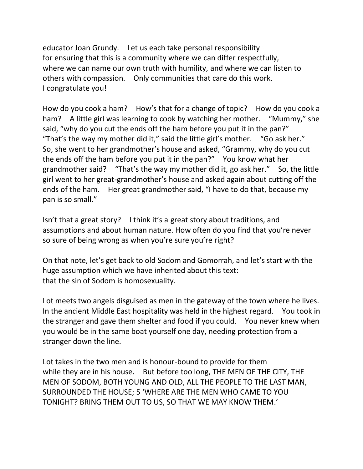educator Joan Grundy. Let us each take personal responsibility for ensuring that this is a community where we can differ respectfully, where we can name our own truth with humility, and where we can listen to others with compassion. Only communities that care do this work. I congratulate you!

How do you cook a ham? How's that for a change of topic? How do you cook a ham? A little girl was learning to cook by watching her mother. "Mummy," she said, "why do you cut the ends off the ham before you put it in the pan?" "That's the way my mother did it," said the little girl's mother. "Go ask her." So, she went to her grandmother's house and asked, "Grammy, why do you cut the ends off the ham before you put it in the pan?" You know what her grandmother said? "That's the way my mother did it, go ask her." So, the little girl went to her great-grandmother's house and asked again about cutting off the ends of the ham. Her great grandmother said, "I have to do that, because my pan is so small."

Isn't that a great story? I think it's a great story about traditions, and assumptions and about human nature. How often do you find that you're never so sure of being wrong as when you're sure you're right?

On that note, let's get back to old Sodom and Gomorrah, and let's start with the huge assumption which we have inherited about this text: that the sin of Sodom is homosexuality.

Lot meets two angels disguised as men in the gateway of the town where he lives. In the ancient Middle East hospitality was held in the highest regard. You took in the stranger and gave them shelter and food if you could. You never knew when you would be in the same boat yourself one day, needing protection from a stranger down the line.

Lot takes in the two men and is honour-bound to provide for them while they are in his house. But before too long, THE MEN OF THE CITY, THE MEN OF SODOM, BOTH YOUNG AND OLD, ALL THE PEOPLE TO THE LAST MAN, SURROUNDED THE HOUSE; 5 'WHERE ARE THE MEN WHO CAME TO YOU TONIGHT? BRING THEM OUT TO US, SO THAT WE MAY KNOW THEM.'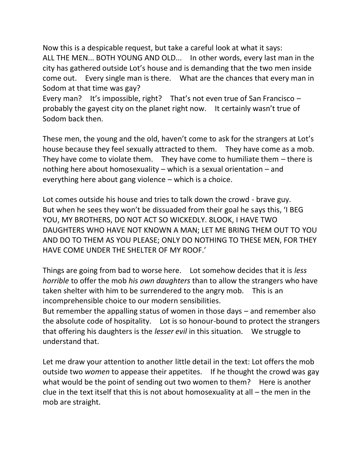Now this is a despicable request, but take a careful look at what it says: ALL THE MEN... BOTH YOUNG AND OLD... In other words, every last man in the city has gathered outside Lot's house and is demanding that the two men inside come out. Every single man is there. What are the chances that every man in Sodom at that time was gay?

Every man? It's impossible, right? That's not even true of San Francisco – probably the gayest city on the planet right now. It certainly wasn't true of Sodom back then.

These men, the young and the old, haven't come to ask for the strangers at Lot's house because they feel sexually attracted to them. They have come as a mob. They have come to violate them. They have come to humiliate them  $-$  there is nothing here about homosexuality – which is a sexual orientation – and everything here about gang violence – which is a choice.

Lot comes outside his house and tries to talk down the crowd - brave guy. But when he sees they won't be dissuaded from their goal he says this, 'I BEG YOU, MY BROTHERS, DO NOT ACT SO WICKEDLY. 8LOOK, I HAVE TWO DAUGHTERS WHO HAVE NOT KNOWN A MAN; LET ME BRING THEM OUT TO YOU AND DO TO THEM AS YOU PLEASE; ONLY DO NOTHING TO THESE MEN, FOR THEY HAVE COME UNDER THE SHELTER OF MY ROOF.'

Things are going from bad to worse here. Lot somehow decides that it is *less horrible* to offer the mob *his own daughters* than to allow the strangers who have taken shelter with him to be surrendered to the angry mob. This is an incomprehensible choice to our modern sensibilities.

But remember the appalling status of women in those days – and remember also the absolute code of hospitality. Lot is so honour-bound to protect the strangers that offering his daughters is the *lesser evil* in this situation. We struggle to understand that.

Let me draw your attention to another little detail in the text: Lot offers the mob outside two *women* to appease their appetites. If he thought the crowd was gay what would be the point of sending out two women to them? Here is another clue in the text itself that this is not about homosexuality at all – the men in the mob are straight.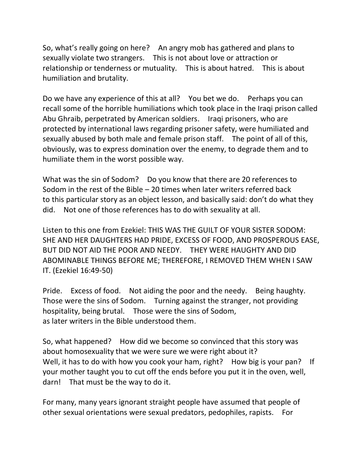So, what's really going on here? An angry mob has gathered and plans to sexually violate two strangers. This is not about love or attraction or relationship or tenderness or mutuality. This is about hatred. This is about humiliation and brutality.

Do we have any experience of this at all? You bet we do. Perhaps you can recall some of the horrible humiliations which took place in the Iraqi prison called Abu Ghraib, perpetrated by American soldiers. Iraqi prisoners, who are protected by international laws regarding prisoner safety, were humiliated and sexually abused by both male and female prison staff. The point of all of this, obviously, was to express domination over the enemy, to degrade them and to humiliate them in the worst possible way.

What was the sin of Sodom? Do you know that there are 20 references to Sodom in the rest of the Bible – 20 times when later writers referred back to this particular story as an object lesson, and basically said: don't do what they did. Not one of those references has to do with sexuality at all.

Listen to this one from Ezekiel: THIS WAS THE GUILT OF YOUR SISTER SODOM: SHE AND HER DAUGHTERS HAD PRIDE, EXCESS OF FOOD, AND PROSPEROUS EASE, BUT DID NOT AID THE POOR AND NEEDY. THEY WERE HAUGHTY AND DID ABOMINABLE THINGS BEFORE ME; THEREFORE, I REMOVED THEM WHEN I SAW IT. (Ezekiel 16:49-50)

Pride. Excess of food. Not aiding the poor and the needy. Being haughty. Those were the sins of Sodom. Turning against the stranger, not providing hospitality, being brutal. Those were the sins of Sodom, as later writers in the Bible understood them.

So, what happened? How did we become so convinced that this story was about homosexuality that we were sure we were right about it? Well, it has to do with how you cook your ham, right? How big is your pan? If your mother taught you to cut off the ends before you put it in the oven, well, darn! That must be the way to do it.

For many, many years ignorant straight people have assumed that people of other sexual orientations were sexual predators, pedophiles, rapists. For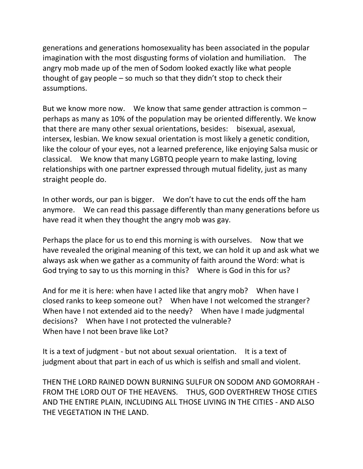generations and generations homosexuality has been associated in the popular imagination with the most disgusting forms of violation and humiliation. The angry mob made up of the men of Sodom looked exactly like what people thought of gay people – so much so that they didn't stop to check their assumptions.

But we know more now. We know that same gender attraction is common – perhaps as many as 10% of the population may be oriented differently. We know that there are many other sexual orientations, besides: bisexual, asexual, intersex, lesbian. We know sexual orientation is most likely a genetic condition, like the colour of your eyes, not a learned preference, like enjoying Salsa music or classical. We know that many LGBTQ people yearn to make lasting, loving relationships with one partner expressed through mutual fidelity, just as many straight people do.

In other words, our pan is bigger. We don't have to cut the ends off the ham anymore. We can read this passage differently than many generations before us have read it when they thought the angry mob was gay.

Perhaps the place for us to end this morning is with ourselves. Now that we have revealed the original meaning of this text, we can hold it up and ask what we always ask when we gather as a community of faith around the Word: what is God trying to say to us this morning in this? Where is God in this for us?

And for me it is here: when have I acted like that angry mob? When have I closed ranks to keep someone out? When have I not welcomed the stranger? When have I not extended aid to the needy? When have I made judgmental decisions? When have I not protected the vulnerable? When have I not been brave like Lot?

It is a text of judgment - but not about sexual orientation. It is a text of judgment about that part in each of us which is selfish and small and violent.

THEN THE LORD RAINED DOWN BURNING SULFUR ON SODOM AND GOMORRAH - FROM THE LORD OUT OF THE HEAVENS. THUS, GOD OVERTHREW THOSE CITIES AND THE ENTIRE PLAIN, INCLUDING ALL THOSE LIVING IN THE CITIES - AND ALSO THE VEGETATION IN THE LAND.